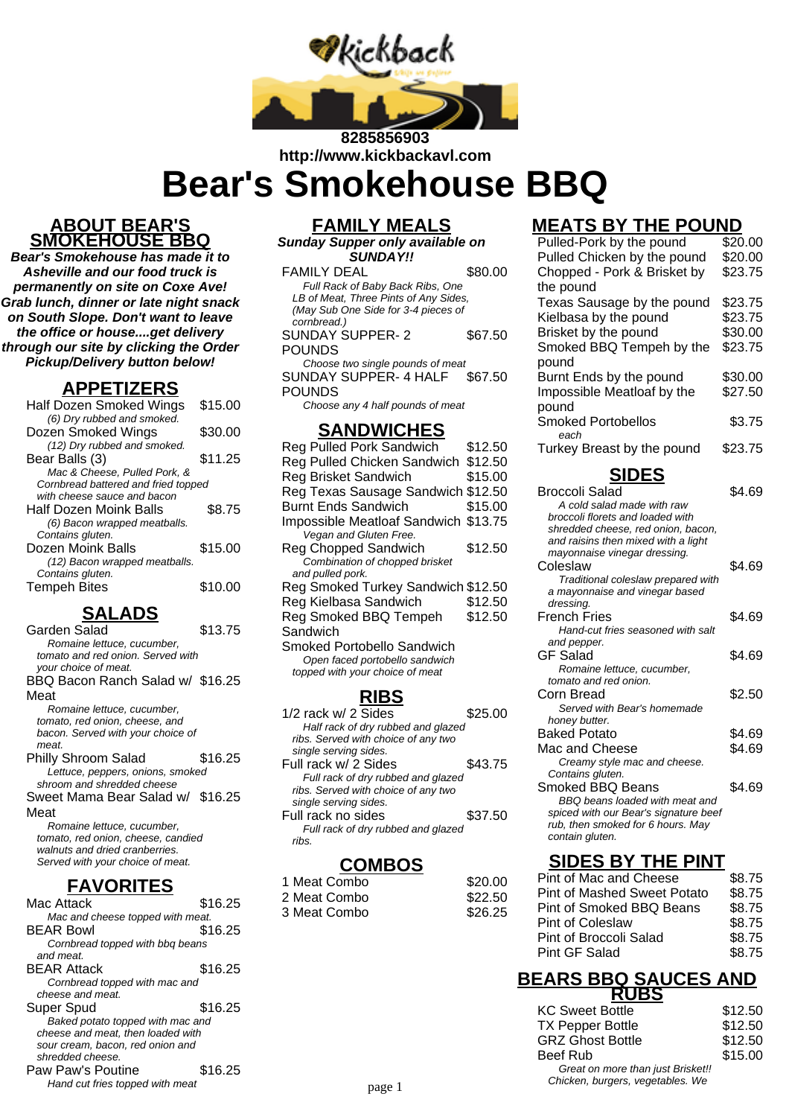

# **http://www.kickbackavl.com**

**Bear's Smokehouse BBQ**

#### **ABOUT BEAR'S SMOKEHOUSE BBQ**

**Bear's Smokehouse has made it to Asheville and our food truck is permanently on site on Coxe Ave! Grab lunch, dinner or late night snack on South Slope. Don't want to leave the office or house....get delivery through our site by clicking the Order Pickup/Delivery button below!**

#### **APPETIZERS**

| Half Dozen Smoked Wings             | \$15.00 |
|-------------------------------------|---------|
| (6) Dry rubbed and smoked.          |         |
| Dozen Smoked Wings                  | \$30.00 |
| (12) Dry rubbed and smoked.         |         |
| Bear Balls (3)                      | \$11.25 |
| Mac & Cheese, Pulled Pork, &        |         |
| Cornbread battered and fried topped |         |
| with cheese sauce and bacon         |         |
| Half Dozen Moink Balls              | \$8.75  |
| (6) Bacon wrapped meatballs.        |         |
| Contains gluten.                    |         |
| Dozen Moink Balls                   | \$15.00 |
| (12) Bacon wrapped meatballs.       |         |
| Contains gluten.                    |         |
| <b>Tempeh Bites</b>                 | \$10.00 |
|                                     |         |

## **SALADS**

| Garden Salad                       | \$13.75 |
|------------------------------------|---------|
| Romaine lettuce, cucumber,         |         |
| tomato and red onion. Served with  |         |
| your choice of meat.               |         |
| BBQ Bacon Ranch Salad w/ \$16.25   |         |
| Meat                               |         |
| Romaine lettuce, cucumber,         |         |
| tomato, red onion, cheese, and     |         |
| bacon. Served with your choice of  |         |
| meat.                              |         |
| Philly Shroom Salad                | \$16.25 |
| Lettuce, peppers, onions, smoked   |         |
| shroom and shredded cheese         |         |
| Sweet Mama Bear Salad w/ \$16.25   |         |
| Meat                               |         |
| Romaine lettuce, cucumber,         |         |
| tomato, red onion, cheese, candied |         |
| walnuts and dried cranberries.     |         |
| Served with your choice of meat.   |         |
|                                    |         |

#### **FAVORITES**

| Mac Attack                        | \$16.25 |
|-----------------------------------|---------|
| Mac and cheese topped with meat.  |         |
| <b>BEAR Bowl</b>                  | \$16.25 |
| Cornbread topped with bbg beans   |         |
| and meat.                         |         |
| <b>BEAR Attack</b>                | \$16.25 |
| Cornbread topped with mac and     |         |
| cheese and meat.                  |         |
| Super Spud                        | \$16.25 |
| Baked potato topped with mac and  |         |
| cheese and meat, then loaded with |         |
| sour cream, bacon, red onion and  |         |
| shredded cheese.                  |         |
| Paw Paw's Poutine                 | \$16.25 |
| Hand cut fries topped with meat   |         |

## **FAMILY MEALS**

**Sunday Supper only available on SUNDAY!!**

#### **Sandwich**

Smoked Portobello Sandwich Open faced portobello sandwich topped with your choice of meat

#### **RIBS**

| $1/2$ rack w/ 2 Sides               | \$25.00 |
|-------------------------------------|---------|
| Half rack of dry rubbed and glazed  |         |
| ribs. Served with choice of any two |         |
| single serving sides.               |         |
| Full rack w/ 2 Sides                | \$43.75 |
| Full rack of dry rubbed and glazed  |         |
| ribs. Served with choice of any two |         |
| single serving sides.               |         |
| Full rack no sides                  | \$37.50 |
| Full rack of dry rubbed and glazed  |         |
| rihs                                |         |

#### **COMBOS**

| 1 Meat Combo | \$20.00 |
|--------------|---------|
| 2 Meat Combo | \$22.50 |
| 3 Meat Combo | \$26.25 |

### **MEATS BY THE POUND**

| Pulled-Pork by the pound    | \$20.00 |
|-----------------------------|---------|
| Pulled Chicken by the pound | \$20.00 |
| Chopped - Pork & Brisket by | \$23.75 |
| the pound                   |         |
| Texas Sausage by the pound  | \$23.75 |
| Kielbasa by the pound       | \$23.75 |
| Brisket by the pound        | \$30.00 |
| Smoked BBQ Tempeh by the    | \$23.75 |
| pound                       |         |
| Burnt Ends by the pound     | \$30.00 |
| Impossible Meatloaf by the  | \$27.50 |
| pound                       |         |
| <b>Smoked Portobellos</b>   | \$3.75  |
| each                        |         |
| Turkey Breast by the pound  | \$23.75 |
|                             |         |

## **SIDES**

| Broccoli Salad<br>A cold salad made with raw<br>broccoli florets and loaded with<br>shredded cheese, red onion, bacon,<br>and raisins then mixed with a light<br>mayonnaise vinegar dressing. | \$4.69 |
|-----------------------------------------------------------------------------------------------------------------------------------------------------------------------------------------------|--------|
| Coleslaw<br>Traditional coleslaw prepared with<br>a mayonnaise and vinegar based<br>dressing.                                                                                                 | \$4.69 |
| French Fries<br>Hand-cut fries seasoned with salt<br>and pepper.                                                                                                                              | \$4.69 |
| GF Salad<br>Romaine lettuce, cucumber,<br>tomato and red onion.                                                                                                                               | \$4.69 |
| Corn Bread<br>Served with Bear's homemade<br>honey butter.                                                                                                                                    | \$2.50 |
| Baked Potato                                                                                                                                                                                  | \$4.69 |
| Mac and Cheese<br>Creamy style mac and cheese.<br>Contains gluten.                                                                                                                            | \$4.69 |
| Smoked BBQ Beans<br>BBQ beans loaded with meat and<br>spiced with our Bear's signature beef<br>rub, then smoked for 6 hours. May<br>contain gluten.                                           | \$4.69 |

#### **SIDES BY THE PINT**

| Pint of Mac and Cheese      | \$8.75 |
|-----------------------------|--------|
| Pint of Mashed Sweet Potato | \$8.75 |
| Pint of Smoked BBQ Beans    | \$8.75 |
| <b>Pint of Coleslaw</b>     | \$8.75 |
| Pint of Broccoli Salad      | \$8.75 |
| Pint GF Salad               | \$8.75 |

#### **BEARS BBQ SAUCES AND RUBS**

| <b>KC Sweet Bottle</b>            | \$12.50                          |
|-----------------------------------|----------------------------------|
| <b>TX Pepper Bottle</b>           | \$12.50                          |
| <b>GRZ Ghost Bottle</b>           | \$12.50                          |
| Beef Rub                          | \$15.00                          |
| Great on more than just Brisket!! |                                  |
|                                   |                                  |
|                                   | Chicken, burgers, vegetables. We |